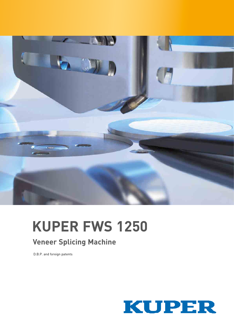

# **KUPER FWS 1250**

### **Veneer Splicing Machine**

D.B.P. and foreign patents

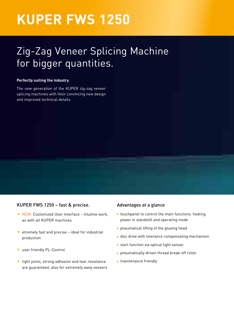### **KUPER FWS 1250**

### Zig-Zag Veneer Splicing Machine for bigger quantities.

#### **Perfectly suiting the industry.**

The new generation of the KUPER zig-zag veneer splicing machines with their convincing new design and improved technical details.

#### KUPER FWS 1250 – fast & precise.

- **NEW: Customized User Interface intuitive work,** as with all KUPER machines
- $\blacksquare$  etremely fast and precise ideal for industrial production
- **user friendly PL-Control**
- **tight joints, strong adhesion and tear resistance** are guaranteed, also for extremely wavy veneers

#### Advantages at a glance

- **t** touchpanel to control the main functions: heating power in standstill and operating mode
- **propriengle** pneumatical lifting of the glueing head
- **disc drive with tolerance compensating mechanism**
- start function via optical light sensor
- **Proprient Proprints** pneumatically driven thread break-off roller
- **maintenance friendly**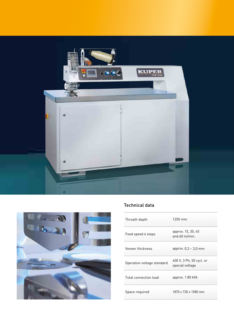



#### Technical data

| Throath depth              | $1250 \text{ mm}$                              |
|----------------------------|------------------------------------------------|
| Feed speed 4 steps         | approx. 15, 30, 45<br>and $60 \text{ m/min}$ . |
| Veneer thickness           | approx. $0.3 - 3.0$ mm                         |
| Operation voltage standard | 400 V, 3 Ph, 50 cycl. or<br>special voltage    |
| Total connection load      | approx. 1.80 kVA                               |
| Space required             | 1870 x 720 x 1580 mm                           |